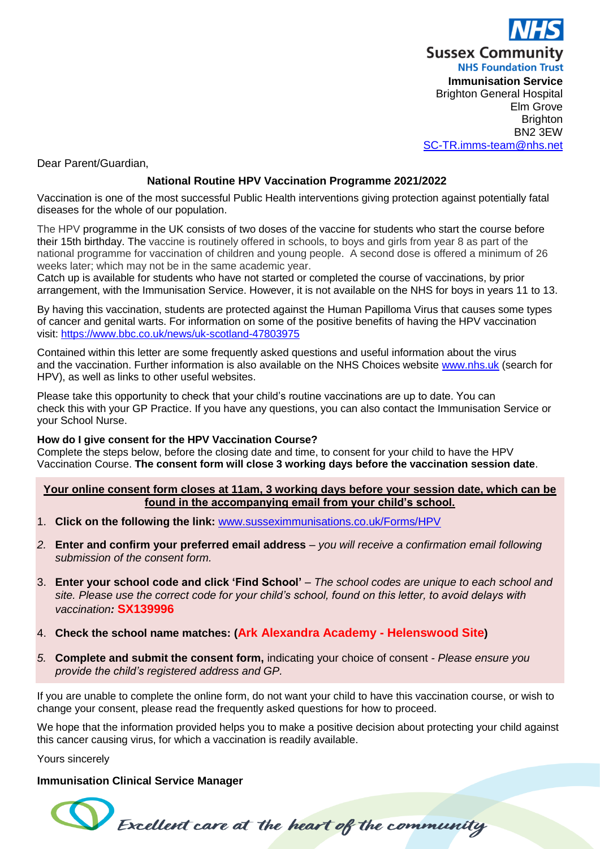

Dear Parent/Guardian,

# **National Routine HPV Vaccination Programme 2021/2022**

Vaccination is one of the most successful Public Health interventions giving protection against potentially fatal diseases for the whole of our population.

The HPV programme in the UK consists of two doses of the vaccine for students who start the course before their 15th birthday. The vaccine is routinely offered in schools, to boys and girls from year 8 as part of the national programme for vaccination of children and young people. A second dose is offered a minimum of 26 weeks later; which may not be in the same academic year.

Catch up is available for students who have not started or completed the course of vaccinations, by prior arrangement, with the Immunisation Service. However, it is not available on the NHS for boys in years 11 to 13.

By having this vaccination, students are protected against the Human Papilloma Virus that causes some types of cancer and genital warts. For information on some of the positive benefits of having the HPV vaccination visit: <https://www.bbc.co.uk/news/uk-scotland-47803975>

Contained within this letter are some frequently asked questions and useful information about the virus and the vaccination. Further information is also available on the NHS Choices website [www.nhs.uk](http://www.nhs.uk/) (search for HPV), as well as links to other useful websites.

Please take this opportunity to check that your child's routine vaccinations are up to date. You can check this with your GP Practice. If you have any questions, you can also contact the Immunisation Service or your School Nurse.

#### **How do I give consent for the HPV Vaccination Course?**

Complete the steps below, before the closing date and time, to consent for your child to have the HPV Vaccination Course. **The consent form will close 3 working days before the vaccination session date**.

#### **Your online consent form closes at 11am, 3 working days before your session date, which can be found in the accompanying email from your child's school.**

- 1. **Click on the following the link:** [www.susseximmunisations.co.uk/Forms/HPV](http://www.susseximmunisations.co.uk/Forms/HPV)
- *2.* **Enter and confirm your preferred email address** *you will receive a confirmation email following submission of the consent form.*
- 3. **Enter your school code and click 'Find School'** The school codes are unique to each school and *site. Please use the correct code for your child's school, found on this letter, to avoid delays with vaccination:* **SX139996**
- 4. **Check the school name matches: (Ark Alexandra Academy - Helenswood Site)**
- *5.* **Complete and submit the consent form,** indicating your choice of consent *- Please ensure you provide the child's registered address and GP.*

Excellent care at the heart of the community

If you are unable to complete the online form, do not want your child to have this vaccination course, or wish to change your consent, please read the frequently asked questions for how to proceed.

We hope that the information provided helps you to make a positive decision about protecting your child against this cancer causing virus, for which a vaccination is readily available.

Yours sincerely

### **Immunisation Clinical Service Manager**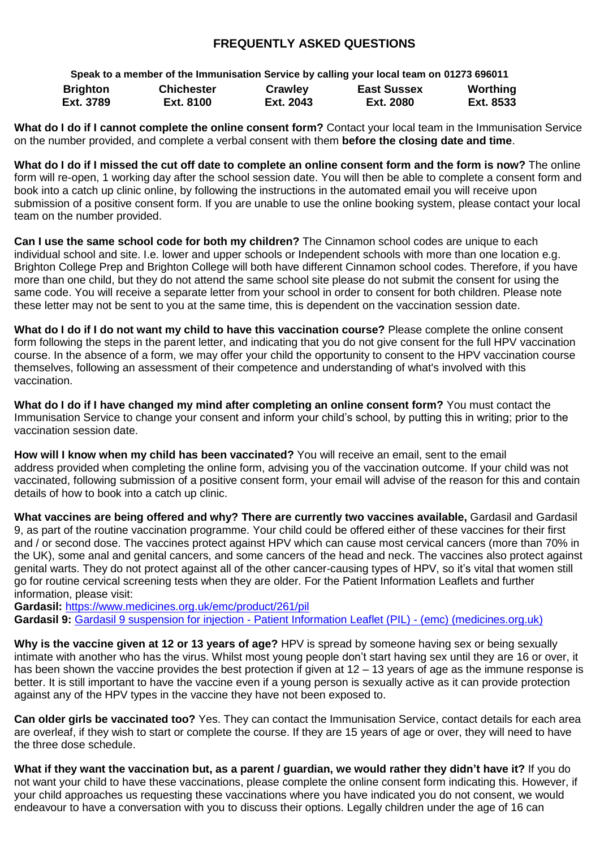# **FREQUENTLY ASKED QUESTIONS**

**Speak to a member of the Immunisation Service by calling your local team on 01273 696011 Brighton Ext. 3789 Chichester Ext. 8100 Crawley Ext. 2043 East Sussex Ext. 2080 Worthing Ext. 8533**

**What do I do if I cannot complete the online consent form?** Contact your local team in the Immunisation Service on the number provided, and complete a verbal consent with them **before the closing date and time**.

**What do I do if I missed the cut off date to complete an online consent form and the form is now?** The online form will re-open, 1 working day after the school session date. You will then be able to complete a consent form and book into a catch up clinic online, by following the instructions in the automated email you will receive upon submission of a positive consent form. If you are unable to use the online booking system, please contact your local team on the number provided.

**Can I use the same school code for both my children?** The Cinnamon school codes are unique to each individual school and site. I.e. lower and upper schools or Independent schools with more than one location e.g. Brighton College Prep and Brighton College will both have different Cinnamon school codes. Therefore, if you have more than one child, but they do not attend the same school site please do not submit the consent for using the same code. You will receive a separate letter from your school in order to consent for both children. Please note these letter may not be sent to you at the same time, this is dependent on the vaccination session date.

**What do I do if I do not want my child to have this vaccination course?** Please complete the online consent form following the steps in the parent letter, and indicating that you do not give consent for the full HPV vaccination course. In the absence of a form, we may offer your child the opportunity to consent to the HPV vaccination course themselves, following an assessment of their competence and understanding of what's involved with this vaccination.

**What do I do if I have changed my mind after completing an online consent form?** You must contact the Immunisation Service to change your consent and inform your child's school, by putting this in writing; prior to the vaccination session date.

**How will I know when my child has been vaccinated?** You will receive an email, sent to the email address provided when completing the online form, advising you of the vaccination outcome. If your child was not vaccinated, following submission of a positive consent form, your email will advise of the reason for this and contain details of how to book into a catch up clinic.

**What vaccines are being offered and why? There are currently two vaccines available,** Gardasil and Gardasil 9, as part of the routine vaccination programme. Your child could be offered either of these vaccines for their first and / or second dose. The vaccines protect against HPV which can cause most cervical cancers (more than 70% in the UK), some anal and genital cancers, and some cancers of the head and neck. The vaccines also protect against genital warts. They do not protect against all of the other cancer-causing types of HPV, so it's vital that women still go for routine cervical screening tests when they are older. For the Patient Information Leaflets and further information, please visit:

**Gardasil:** <https://www.medicines.org.uk/emc/product/261/pil> **Gardasil 9:** [Gardasil 9 suspension for injection -](https://www.medicines.org.uk/emc/product/7330/pil) Patient Information Leaflet (PIL) - (emc) (medicines.org.uk)

**Why is the vaccine given at 12 or 13 years of age?** HPV is spread by someone having sex or being sexually intimate with another who has the virus. Whilst most young people don't start having sex until they are 16 or over, it has been shown the vaccine provides the best protection if given at 12 – 13 years of age as the immune response is better. It is still important to have the vaccine even if a young person is sexually active as it can provide protection against any of the HPV types in the vaccine they have not been exposed to.

**Can older girls be vaccinated too?** Yes. They can contact the Immunisation Service, contact details for each area are overleaf, if they wish to start or complete the course. If they are 15 years of age or over, they will need to have the three dose schedule.

**What if they want the vaccination but, as a parent / guardian, we would rather they didn't have it?** If you do not want your child to have these vaccinations, please complete the online consent form indicating this. However, if your child approaches us requesting these vaccinations where you have indicated you do not consent, we would endeavour to have a conversation with you to discuss their options. Legally children under the age of 16 can